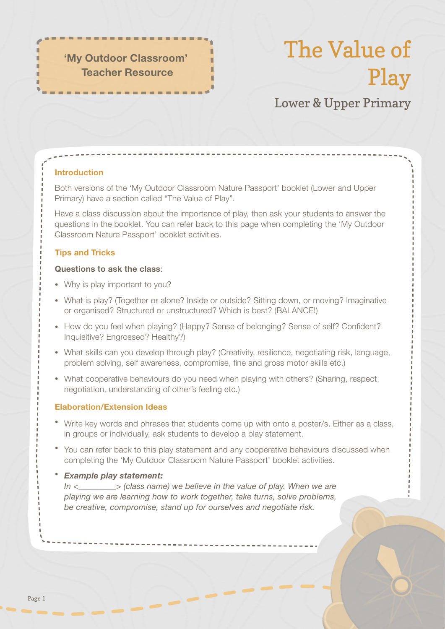'My Outdoor Classroom' Teacher Resource

# The Value of Play

# Lower & Upper Primary

# Introduction

Both versions of the 'My Outdoor Classroom Nature Passport' booklet (Lower and Upper Primary) have a section called "The Value of Play".

Have a class discussion about the importance of play, then ask your students to answer the questions in the booklet. You can refer back to this page when completing the 'My Outdoor Classroom Nature Passport' booklet activities.

## Tips and Tricks

#### Questions to ask the class:

- Why is play important to you?
- What is play? (Together or alone? Inside or outside? Sitting down, or moving? Imaginative or organised? Structured or unstructured? Which is best? (BALANCE!)
- How do you feel when playing? (Happy? Sense of belonging? Sense of self? Confident? Inquisitive? Engrossed? Healthy?)
- What skills can you develop through play? (Creativity, resilience, negotiating risk, language, problem solving, self awareness, compromise, fine and gross motor skills etc.)
- What cooperative behaviours do you need when playing with others? (Sharing, respect, negotiation, understanding of other's feeling etc.)

#### Elaboration/Extension Ideas

- Write key words and phrases that students come up with onto a poster/s. Either as a class, in groups or individually, ask students to develop a play statement.
- You can refer back to this play statement and any cooperative behaviours discussed when completing the 'My Outdoor Classroom Nature Passport' booklet activities.

#### *Example play statement:*

 *In <\_\_\_\_\_\_\_\_\_> (class name) we believe in the value of play. When we are playing we are learning how to work together, take turns, solve problems, be creative, compromise, stand up for ourselves and negotiate risk.*